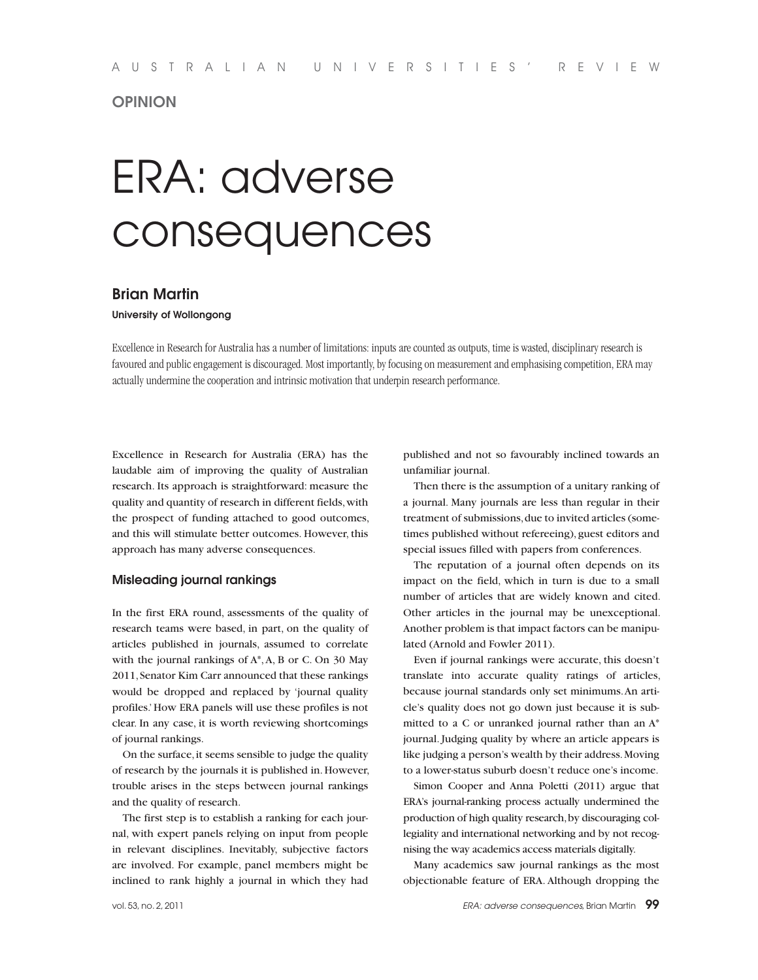# **OPINION**

# ERA: adverse consequences

# **Brian Martin**

**University of Wollongong**

Excellence in Research for Australia has a number of limitations: inputs are counted as outputs, time is wasted, disciplinary research is favoured and public engagement is discouraged. Most importantly, by focusing on measurement and emphasising competition, ERA may actually undermine the cooperation and intrinsic motivation that underpin research performance.

Excellence in Research for Australia (ERA) has the laudable aim of improving the quality of Australian research. Its approach is straightforward: measure the quality and quantity of research in different fields, with the prospect of funding attached to good outcomes, and this will stimulate better outcomes. However, this approach has many adverse consequences.

## **Misleading journal rankings**

In the first ERA round, assessments of the quality of research teams were based, in part, on the quality of articles published in journals, assumed to correlate with the journal rankings of A\*, A, B or C. On 30 May 2011, Senator Kim Carr announced that these rankings would be dropped and replaced by 'journal quality profiles.' How ERA panels will use these profiles is not clear. In any case, it is worth reviewing shortcomings of journal rankings.

On the surface, it seems sensible to judge the quality of research by the journals it is published in. However, trouble arises in the steps between journal rankings and the quality of research.

The first step is to establish a ranking for each journal, with expert panels relying on input from people in relevant disciplines. Inevitably, subjective factors are involved. For example, panel members might be inclined to rank highly a journal in which they had

published and not so favourably inclined towards an unfamiliar journal.

Then there is the assumption of a unitary ranking of a journal. Many journals are less than regular in their treatment of submissions, due to invited articles (sometimes published without refereeing), guest editors and special issues filled with papers from conferences.

The reputation of a journal often depends on its impact on the field, which in turn is due to a small number of articles that are widely known and cited. Other articles in the journal may be unexceptional. Another problem is that impact factors can be manipulated (Arnold and Fowler 2011).

Even if journal rankings were accurate, this doesn't translate into accurate quality ratings of articles, because journal standards only set minimums. An article's quality does not go down just because it is submitted to a C or unranked journal rather than an A\* journal. Judging quality by where an article appears is like judging a person's wealth by their address. Moving to a lower-status suburb doesn't reduce one's income.

Simon Cooper and Anna Poletti (2011) argue that ERA's journal-ranking process actually undermined the production of high quality research, by discouraging collegiality and international networking and by not recognising the way academics access materials digitally.

Many academics saw journal rankings as the most objectionable feature of ERA. Although dropping the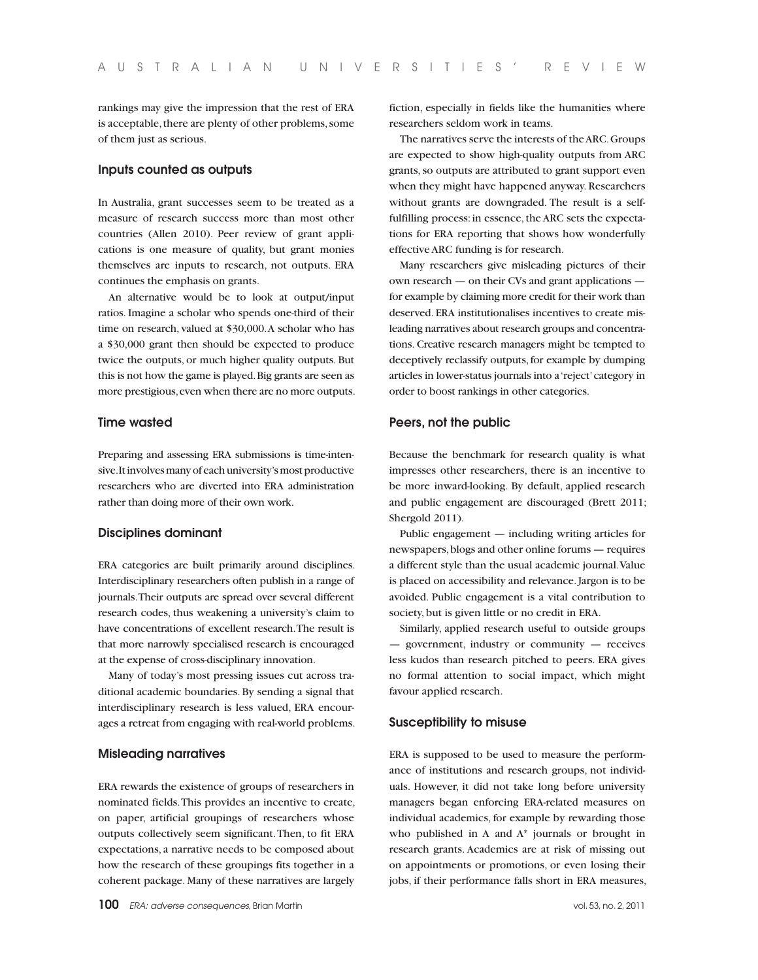rankings may give the impression that the rest of ERA is acceptable, there are plenty of other problems, some of them just as serious.

# **Inputs counted as outputs**

In Australia, grant successes seem to be treated as a measure of research success more than most other countries (Allen 2010). Peer review of grant applications is one measure of quality, but grant monies themselves are inputs to research, not outputs. ERA continues the emphasis on grants.

An alternative would be to look at output/input ratios. Imagine a scholar who spends one-third of their time on research, valued at \$30,000. A scholar who has a \$30,000 grant then should be expected to produce twice the outputs, or much higher quality outputs. But this is not how the game is played. Big grants are seen as more prestigious, even when there are no more outputs.

## **Time wasted**

Preparing and assessing ERA submissions is time-intensive. It involves many of each university's most productive researchers who are diverted into ERA administration rather than doing more of their own work.

#### **Disciplines dominant**

ERA categories are built primarily around disciplines. Interdisciplinary researchers often publish in a range of journals. Their outputs are spread over several different research codes, thus weakening a university's claim to have concentrations of excellent research. The result is that more narrowly specialised research is encouraged at the expense of cross-disciplinary innovation.

Many of today's most pressing issues cut across traditional academic boundaries. By sending a signal that interdisciplinary research is less valued, ERA encourages a retreat from engaging with real-world problems.

#### **Misleading narratives**

ERA rewards the existence of groups of researchers in nominated fields. This provides an incentive to create, on paper, artificial groupings of researchers whose outputs collectively seem significant. Then, to fit ERA expectations, a narrative needs to be composed about how the research of these groupings fits together in a coherent package. Many of these narratives are largely

fiction, especially in fields like the humanities where researchers seldom work in teams.

The narratives serve the interests of the ARC. Groups are expected to show high-quality outputs from ARC grants, so outputs are attributed to grant support even when they might have happened anyway. Researchers without grants are downgraded. The result is a selffulfilling process: in essence, the ARC sets the expectations for ERA reporting that shows how wonderfully effective ARC funding is for research.

Many researchers give misleading pictures of their own research — on their CVs and grant applications for example by claiming more credit for their work than deserved. ERA institutionalises incentives to create misleading narratives about research groups and concentrations. Creative research managers might be tempted to deceptively reclassify outputs, for example by dumping articles in lower-status journals into a 'reject' category in order to boost rankings in other categories.

### **Peers, not the public**

Because the benchmark for research quality is what impresses other researchers, there is an incentive to be more inward-looking. By default, applied research and public engagement are discouraged (Brett 2011; Shergold 2011).

Public engagement — including writing articles for newspapers, blogs and other online forums — requires a different style than the usual academic journal. Value is placed on accessibility and relevance. Jargon is to be avoided. Public engagement is a vital contribution to society, but is given little or no credit in ERA.

Similarly, applied research useful to outside groups — government, industry or community — receives less kudos than research pitched to peers. ERA gives no formal attention to social impact, which might favour applied research.

#### **Susceptibility to misuse**

ERA is supposed to be used to measure the performance of institutions and research groups, not individuals. However, it did not take long before university managers began enforcing ERA-related measures on individual academics, for example by rewarding those who published in A and A\* journals or brought in research grants. Academics are at risk of missing out on appointments or promotions, or even losing their jobs, if their performance falls short in ERA measures,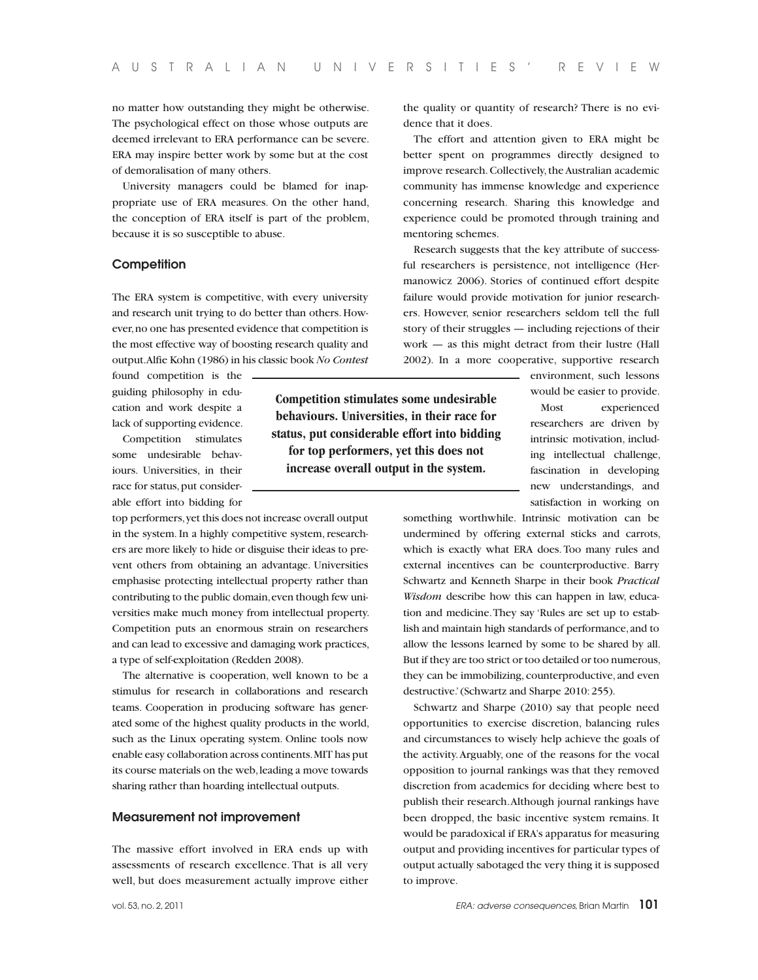no matter how outstanding they might be otherwise. The psychological effect on those whose outputs are deemed irrelevant to ERA performance can be severe. ERA may inspire better work by some but at the cost of demoralisation of many others.

University managers could be blamed for inappropriate use of ERA measures. On the other hand, the conception of ERA itself is part of the problem, because it is so susceptible to abuse.

#### **Competition**

The ERA system is competitive, with every university and research unit trying to do better than others. However, no one has presented evidence that competition is the most effective way of boosting research quality and output. Alfie Kohn (1986) in his classic book *No Contest* 

found competition is the guiding philosophy in education and work despite a lack of supporting evidence.

Competition stimulates some undesirable behaviours. Universities, in their race for status, put considerable effort into bidding for

top performers, yet this does not increase overall output in the system. In a highly competitive system, researchers are more likely to hide or disguise their ideas to prevent others from obtaining an advantage. Universities emphasise protecting intellectual property rather than contributing to the public domain, even though few universities make much money from intellectual property. Competition puts an enormous strain on researchers and can lead to excessive and damaging work practices, a type of self-exploitation (Redden 2008).

The alternative is cooperation, well known to be a stimulus for research in collaborations and research teams. Cooperation in producing software has generated some of the highest quality products in the world, such as the Linux operating system. Online tools now enable easy collaboration across continents. MIT has put its course materials on the web, leading a move towards sharing rather than hoarding intellectual outputs.

# **Measurement not improvement**

The massive effort involved in ERA ends up with assessments of research excellence. That is all very well, but does measurement actually improve either

**Competition stimulates some undesirable behaviours. Universities, in their race for status, put considerable effort into bidding for top performers, yet this does not increase overall output in the system.**

the quality or quantity of research? There is no evidence that it does.

The effort and attention given to ERA might be better spent on programmes directly designed to improve research. Collectively, the Australian academic community has immense knowledge and experience concerning research. Sharing this knowledge and experience could be promoted through training and mentoring schemes.

Research suggests that the key attribute of successful researchers is persistence, not intelligence (Hermanowicz 2006). Stories of continued effort despite failure would provide motivation for junior researchers. However, senior researchers seldom tell the full story of their struggles — including rejections of their work — as this might detract from their lustre (Hall 2002). In a more cooperative, supportive research

> environment, such lessons would be easier to provide.

Most experienced researchers are driven by intrinsic motivation, including intellectual challenge, fascination in developing new understandings, and satisfaction in working on

something worthwhile. Intrinsic motivation can be undermined by offering external sticks and carrots, which is exactly what ERA does. Too many rules and external incentives can be counterproductive. Barry Schwartz and Kenneth Sharpe in their book *Practical Wisdom* describe how this can happen in law, education and medicine. They say 'Rules are set up to establish and maintain high standards of performance, and to allow the lessons learned by some to be shared by all. But if they are too strict or too detailed or too numerous, they can be immobilizing, counterproductive, and even destructive.' (Schwartz and Sharpe 2010: 255).

Schwartz and Sharpe (2010) say that people need opportunities to exercise discretion, balancing rules and circumstances to wisely help achieve the goals of the activity. Arguably, one of the reasons for the vocal opposition to journal rankings was that they removed discretion from academics for deciding where best to publish their research. Although journal rankings have been dropped, the basic incentive system remains. It would be paradoxical if ERA's apparatus for measuring output and providing incentives for particular types of output actually sabotaged the very thing it is supposed to improve.